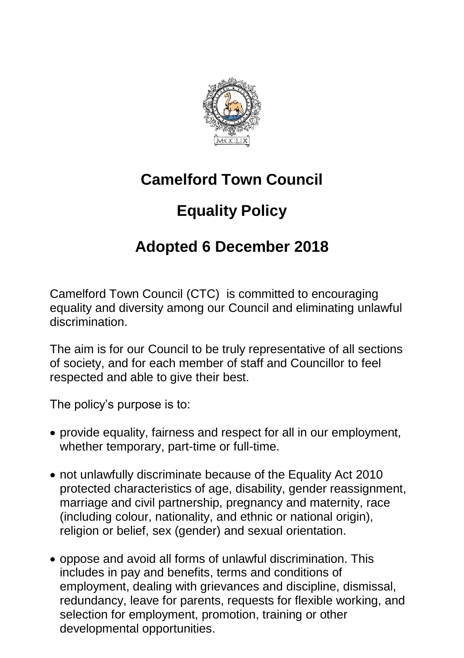

## **Camelford Town Council**

## **Equality Policy**

## **Adopted 6 December 2018**

Camelford Town Council (CTC) is committed to encouraging equality and diversity among our Council and eliminating unlawful discrimination.

The aim is for our Council to be truly representative of all sections of society, and for each member of staff and Councillor to feel respected and able to give their best.

The policy's purpose is to:

- provide equality, fairness and respect for all in our employment, whether temporary, part-time or full-time.
- not unlawfully discriminate because of the Equality Act 2010 protected characteristics of age, disability, gender reassignment, marriage and civil partnership, pregnancy and maternity, race (including colour, nationality, and ethnic or national origin), religion or belief, sex (gender) and sexual orientation.
- oppose and avoid all forms of unlawful discrimination. This includes in pay and benefits, terms and conditions of employment, dealing with grievances and discipline, dismissal, redundancy, leave for parents, requests for flexible working, and selection for employment, promotion, training or other developmental opportunities.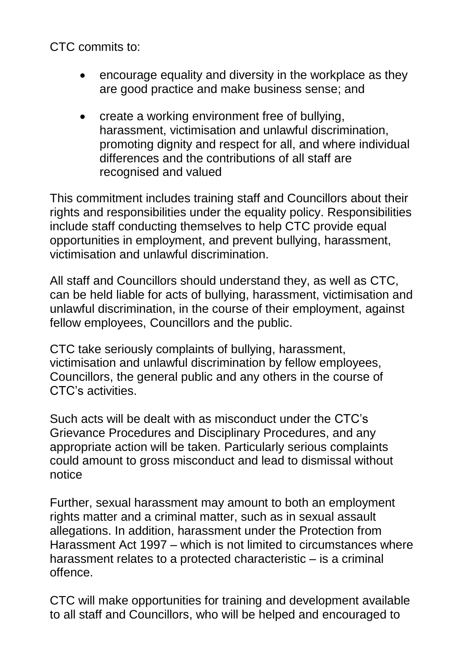CTC commits to:

- encourage equality and diversity in the workplace as they are good practice and make business sense; and
- create a working environment free of bullying. harassment, victimisation and unlawful discrimination, promoting dignity and respect for all, and where individual differences and the contributions of all staff are recognised and valued

This commitment includes training staff and Councillors about their rights and responsibilities under the equality policy. Responsibilities include staff conducting themselves to help CTC provide equal opportunities in employment, and prevent bullying, harassment, victimisation and unlawful discrimination.

All staff and Councillors should understand they, as well as CTC, can be held liable for acts of bullying, harassment, victimisation and unlawful discrimination, in the course of their employment, against fellow employees, Councillors and the public.

CTC take seriously complaints of bullying, harassment, victimisation and unlawful discrimination by fellow employees, Councillors, the general public and any others in the course of CTC's activities.

Such acts will be dealt with as misconduct under the CTC's Grievance Procedures and Disciplinary Procedures, and any appropriate action will be taken. Particularly serious complaints could amount to gross misconduct and lead to dismissal without notice

Further, sexual harassment may amount to both an employment rights matter and a criminal matter, such as in sexual assault allegations. In addition, harassment under the Protection from Harassment Act 1997 – which is not limited to circumstances where harassment relates to a protected characteristic – is a criminal offence.

CTC will make opportunities for training and development available to all staff and Councillors, who will be helped and encouraged to